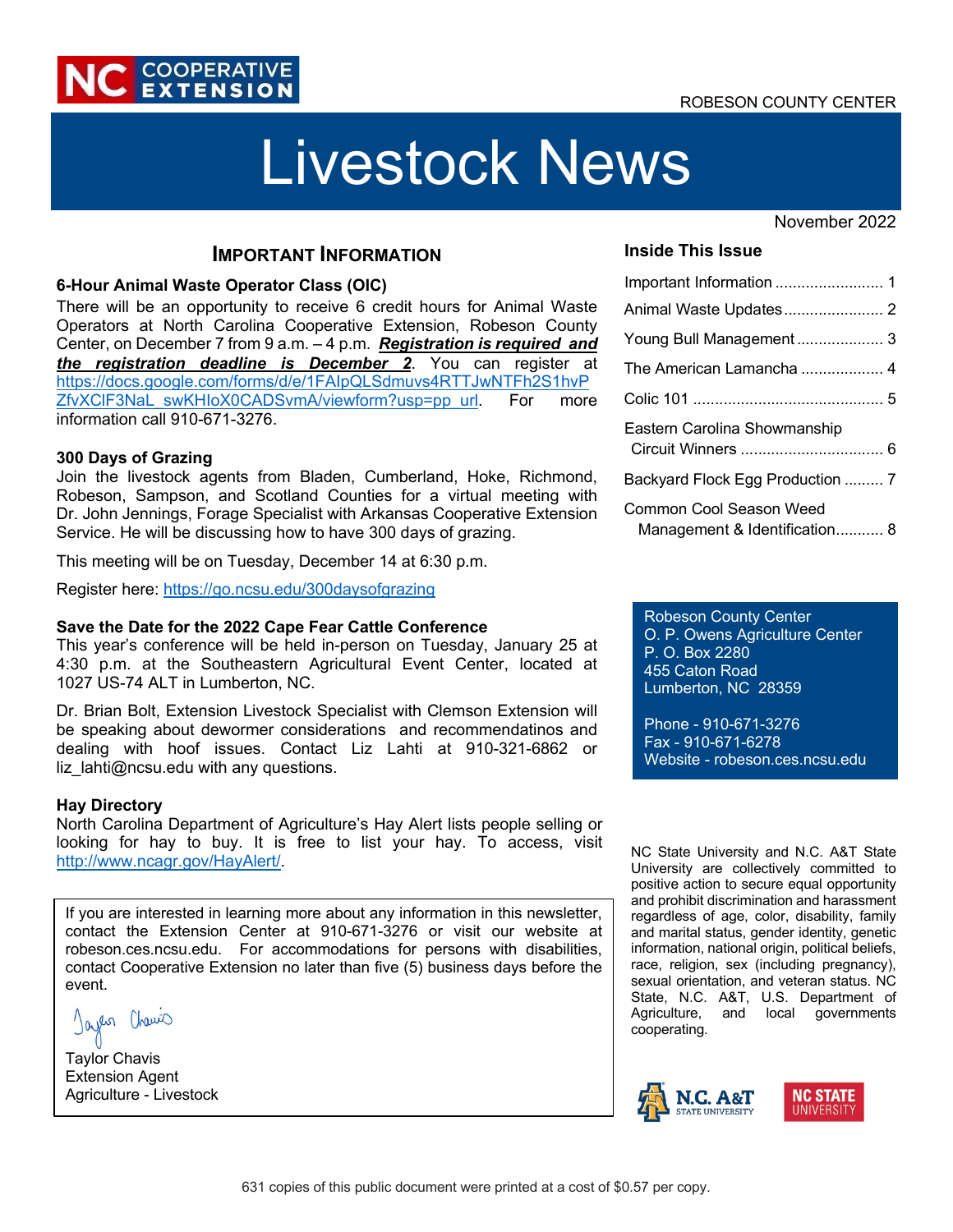## ROBESON COUNTY CENTER



# Livestock News

#### November 2022

## **IMPORTANT INFORMATION**

#### **6-Hour Animal Waste Operator Class (OIC)**

There will be an opportunity to receive 6 credit hours for Animal Waste Operators at North Carolina Cooperative Extension, Robeson County Center, on December 7 from 9 a.m. – 4 p.m. *Registration is required and the registration deadline is December 2*. You can register at https://docs.google.com/forms/d/e/1FAIpQLSdmuvs4RTTJwNTFh2S1hvP ZfvXCIF3NaL\_swKHIoX0CADSvmA/viewform?usp=pp\_url. For more information call 910-671-3276.

#### **300 Days of Grazing**

Join the livestock agents from Bladen, Cumberland, Hoke, Richmond, Robeson, Sampson, and Scotland Counties for a virtual meeting with Dr. John Jennings, Forage Specialist with Arkansas Cooperative Extension Service. He will be discussing how to have 300 days of grazing.

This meeting will be on Tuesday, December 14 at 6:30 p.m.

Register here: https://go.ncsu.edu/300daysofgrazing

#### **Save the Date for the 2022 Cape Fear Cattle Conference**

This year's conference will be held in-person on Tuesday, January 25 at 4:30 p.m. at the Southeastern Agricultural Event Center, located at 1027 US-74 ALT in Lumberton, NC.

Dr. Brian Bolt, Extension Livestock Specialist with Clemson Extension will be speaking about dewormer considerations and recommendatinos and dealing with hoof issues. Contact Liz Lahti at 910-321-6862 or  $liz$  lahti@ncsu.edu with any questions.

#### **Hay Directory**

North Carolina Department of Agriculture's Hay Alert lists people selling or looking for hay to buy. It is free to list your hay. To access, visit http://www.ncagr.gov/HayAlert/.

If you are interested in learning more about any information in this newsletter, contact the Extension Center at 910-671-3276 or visit our website at robeson.ces.ncsu.edu. For accommodations for persons with disabilities, contact Cooperative Extension no later than five (5) business days before the event.

Jayes Chamic

Taylor Chavis Extension Agent Agriculture - Livestock

#### **Inside This Issue**

| Young Bull Management 3                                  |
|----------------------------------------------------------|
| The American Lamancha  4                                 |
|                                                          |
| Eastern Carolina Showmanship                             |
| Backyard Flock Egg Production  7                         |
| Common Cool Season Weed<br>Management & Identification 8 |

Robeson County Center O. P. Owens Agriculture Center P. O. Box 2280 455 Caton Road Lumberton, NC 28359

Phone - 910-671-3276 Fax - 910-671-6278 Website - robeson.ces.ncsu.edu

NC State University and N.C. A&T State University are collectively committed to positive action to secure equal opportunity and prohibit discrimination and harassment regardless of age, color, disability, family and marital status, gender identity, genetic information, national origin, political beliefs, race, religion, sex (including pregnancy), sexual orientation, and veteran status. NC State, N.C. A&T, U.S. Department of Agriculture, and local governments cooperating.

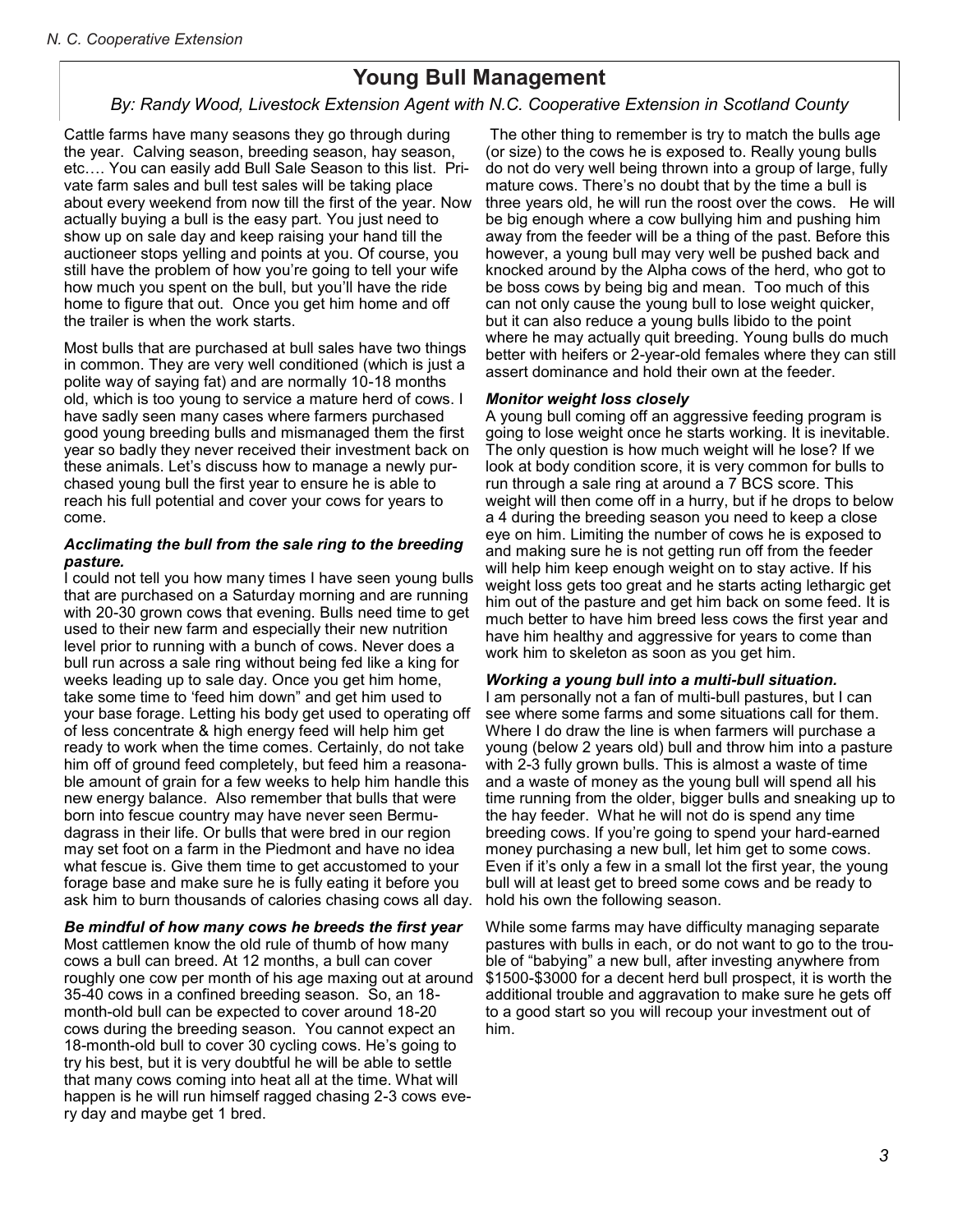## **Young Bull Management**

## *By: Randy Wood, Extension Livestock Agent, N.C. Cooperative Extension, Scotland County Center*

Cattle farms have many seasons they go through during the year. Calving season, breeding season, hay season, etc….you can easily add Bull Sale Season to this list. Private farm sales and bull-test sales will be taking place about every weekend from now till the first of the year. Now, actually buying a bull is the easy part. You just need to show up on sale day and keep raising your hand till the auctioneer stops yelling and points at you. Of course, you still have the problem of how you're going to tell your wife how much you spent on the bull, but you'll have the ride home to figure that out. Once you get him home and off the trailer is when the work starts.

Most bulls that are purchased at bull sales have two things in common. They are very well conditioned (which is just a polite way of saying fat)and are normally 10-18 months old, which is too young to service a mature herd of cows. I have sadly seen many cases where farmers purchased good young breeding bulls and mismanaged them the first year so badly they never received their investment back on these animals. Let's discuss how to manage a newly purchased young bull the first year to ensure he is able to reach his full potential and cover your cows for years to come.

#### *Acclimating the bull from the sale ring to the breeding pasture.*

I could not tell you how many times I have seen young bulls that are purchased on a Saturday morning and are running with 20-30 grown cows that evening. Bulls need time to get used to their new farm and especially their new nutrition level prior to running with a bunch of cows. Never does a bull run across a sale ring without being fed like a king for weeks leading up to sale day. Once you get him home, take some time to "feed him down" and get him used to your base forage. Letting his body get used to operating off of less concentrate and high energy feed will help him get ready to work when the time comes. Certainly, do not take him off of ground feed completely, but feed him a reasonable amount of grain for a few weeks to help him handle this new energy balance. Also remember that bulls that were born into fescue country may have never seen Bermudagrass in their life. Or bulls that were bred in our region may set foot on a farm in the Piedmont and have no idea what fescue is. Give them time to get accustomed to your forage base and make sure he is fully eating it before you ask him to burn thousands of calories chasing cows all day.

#### *Be mindful of how many cows he breeds the first year.*

Most cattlemen know the old rule of thumb of how many cows a bull can breed. At 12 months, a bull can cover roughly one cow per month of his age, maxing out at around 35-40 cows in a confined breeding season. So, an 18-month-old bull can be expected to cover around 18-20 cows during the breeding season. You cannot expect an 18-month-old bull to cover 30 cycling cows. He's going to try his best, but it is very doubtful he will be able to settle that many cows coming into heat all at the same time. What

will happen is he will run himself ragged chasing 2-3 cows every day and maybe get one bred.

The other thing to remember is try to match the bulls age (or size)to the cows he is exposed to. Really young bulls do not do very well being thrown into a group of large, fully mature cows. There's no doubt that by the time a bull is three years old, he will run the roost over the cows. He will be big enough where a cow bullying him and pushing him away from the feeder will be a thing of the past. Before this however, a young bull may very well be pushed back and knocked around by the alpha cows of the herd, who got to be boss cows by being big and mean. Too much of this can not only cause the young bull to lose weight quicker, but it can also reduce a young bulls libido to the point where he may actually quit breeding. Young bulls do much better with heifers or two-year-old females where they can still assert dominance and hold their own at the feeder.

#### *Monitor weight loss closely.*

A young bull coming off an aggressive feeding program is going to lose weight once he starts working. It is inevitable. The only question is how much weight will he lose? If we look at body condition score, it is very common for bulls to run through a sale ring at around a 7 BCS score. This weight will then come off in a hurry, but if he drops to below a 4 during the breeding season you need to keep a close eye on him. Limiting the number of cows he is exposed to and making sure he is not getting run off from the feeder will help him keep enough weight on to stay active. If his weight loss gets too great and he starts acting lethargic get him out of the pasture and get him back on some feed. It is much better to have him breed less cows the first year and have him healthy and aggressive for years to come than work him to skeleton as soon as you get him.

*Working a young bull into a multi-bull situation.* I am personally not a fan of multi-bull pastures, but I can see where some farms and some situations call for them. Where I do draw the line is when farmers will purchase a young (below two years old) bull and throw him into a pasture with 2-3 fully grown bulls. This is almost a waste of time and a waste of money as the young bull will spend all his time running from the older, bigger bulls and sneaking up to the hay feeder. What he will not do is spend any time breeding cows. If you're going to spend your hard-earned money purchasing a new bull, let him get to some cows. Even if it's only a few in a small lot the first year, the young bull will at least get to breed some cows and be ready to hold his own the following season.

While some farms may have difficulty managing separate pastures with bulls in each, or do not want to go to the trouble of "babying" a new bull, after investing anywhere from \$1500-\$3000 for a decent herd bull prospect it is worth the additional trouble and aggravation to make sure he gets off to a good start so you will recoup your investment out of him.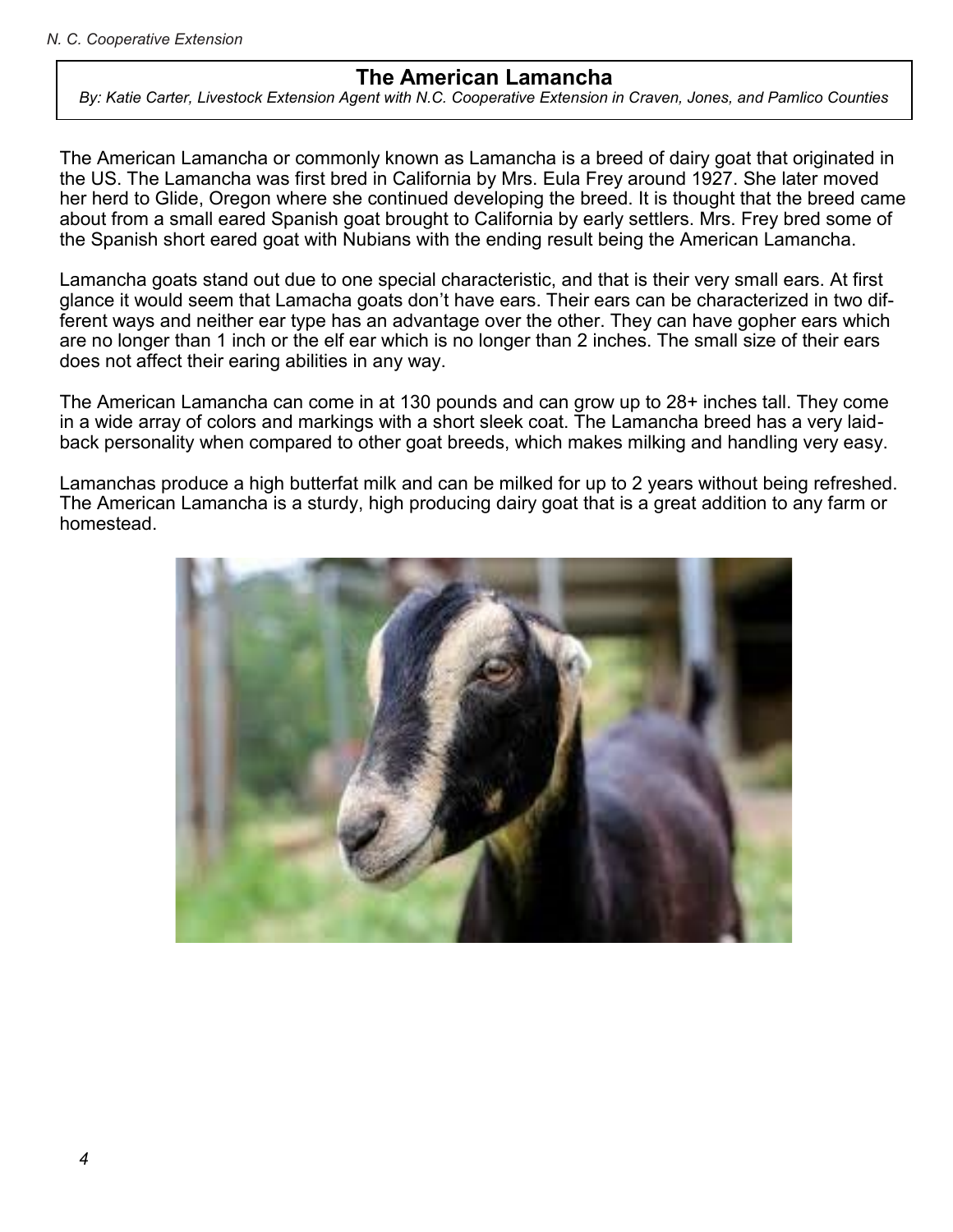## **The American Lamancha**

*By: Katie Carter, Livestock Extension Agent with N.C. Cooperative Extension in Craven, Jones, and Pamlico Counties*

The American Lamancha or commonly known as Lamancha is a breed of dairy goat that originated in the US. The Lamancha was first bred in California by Mrs. Eula Frey around 1927. She later moved her herd to Glide, Oregon where she continued developing the breed. It is thought that the breed came about from a small eared Spanish goat brought to California by early settlers. Mrs. Frey bred some of the Spanish short eared goat with Nubians with the ending result being the American Lamancha.

Lamancha goats stand out due to one special characteristic, and that is their very small ears. At first glance it would seem that Lamacha goats don't have ears. Their ears can be characterized in two different ways and neither ear type has an advantage over the other. They can have gopher ears which are no longer than 1 inch or the elf ear which is no longer than 2 inches. The small size of their ears does not affect their earing abilities in any way.

The American Lamancha can come in at 130 pounds and can grow up to 28+ inches tall. They come in a wide array of colors and markings with a short sleek coat. The Lamancha breed has a very laidback personality when compared to other goat breeds, which makes milking and handling very easy.

Lamanchas produce a high butterfat milk and can be milked for up to 2 years without being refreshed. The American Lamancha is a sturdy, high producing dairy goat that is a great addition to any farm or homestead.

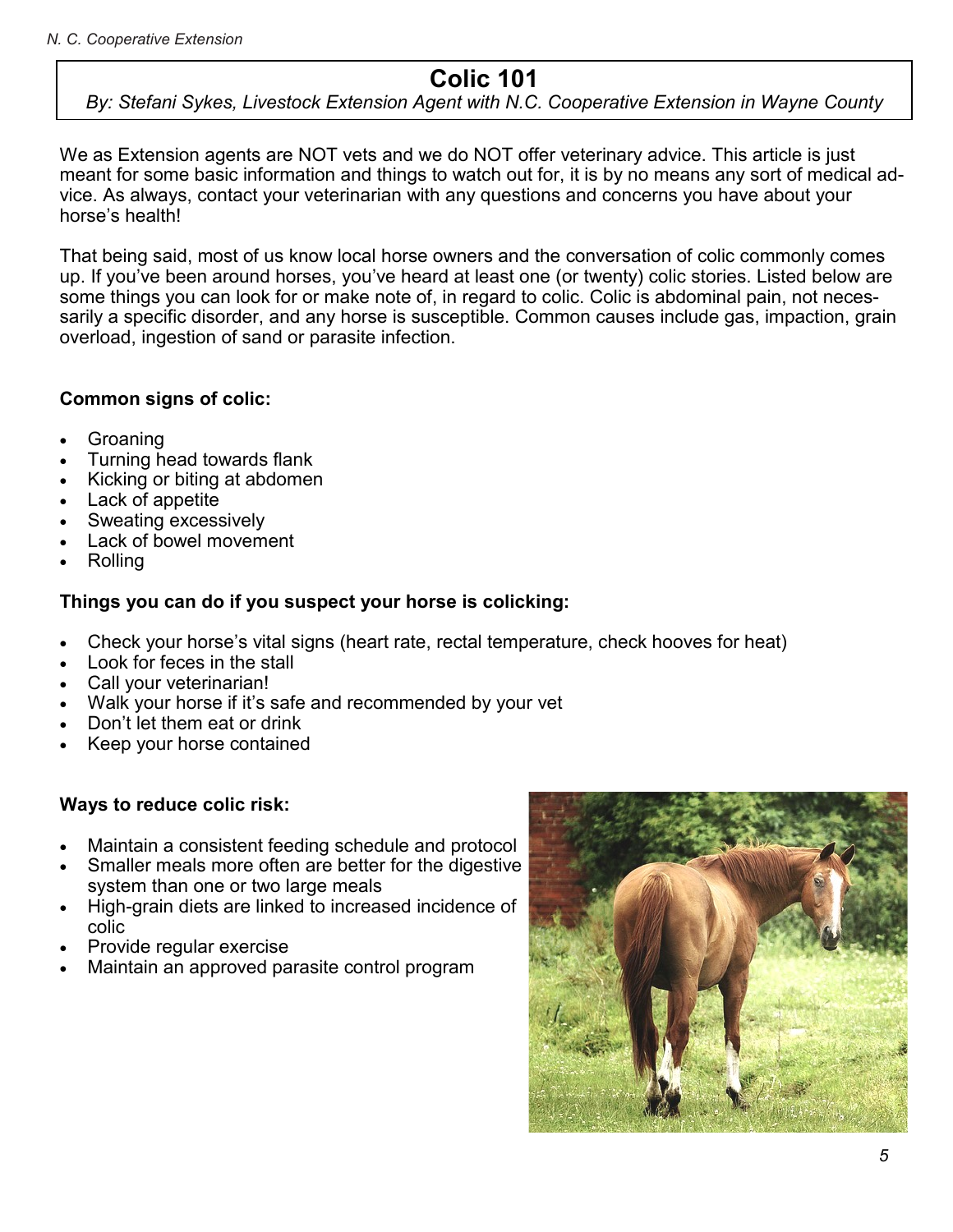## **Colic 101**

## *By: Stefani Sykes, Livestock Extension Agent with N.C. Cooperative Extension in Wayne County*

We as Extension agents are NOT vets and we do NOT offer veterinary advice. This article is just meant for some basic information and things to watch out for, it is by no means any sort of medical advice. As always, contact your veterinarian with any questions and concerns you have about your horse's health!

That being said, most of us know local horse owners and the conversation of colic commonly comes up. If you've been around horses, you've heard at least one (or twenty) colic stories. Listed below are some things you can look for or make note of, in regard to colic. Colic is abdominal pain, not necessarily a specific disorder, and any horse is susceptible. Common causes include gas, impaction, grain overload, ingestion of sand or parasite infection.

## **Common signs of colic:**

- Groaning
- Turning head towards flank
- Kicking or biting at abdomen
- Lack of appetite
- Sweating excessively
- Lack of bowel movement
- Rolling

## **Things you can do if you suspect your horse is colicking:**

- Check your horse's vital signs (heart rate, rectal temperature, check hooves for heat)
- Look for feces in the stall
- Call your veterinarian!
- Walk your horse if it's safe and recommended by your vet
- Don't let them eat or drink
- Keep your horse contained

## **Ways to reduce colic risk:**

- Maintain a consistent feeding schedule and protocol
- Smaller meals more often are better for the digestive system than one or two large meals
- High-grain diets are linked to increased incidence of colic
- Provide regular exercise
- Maintain an approved parasite control program

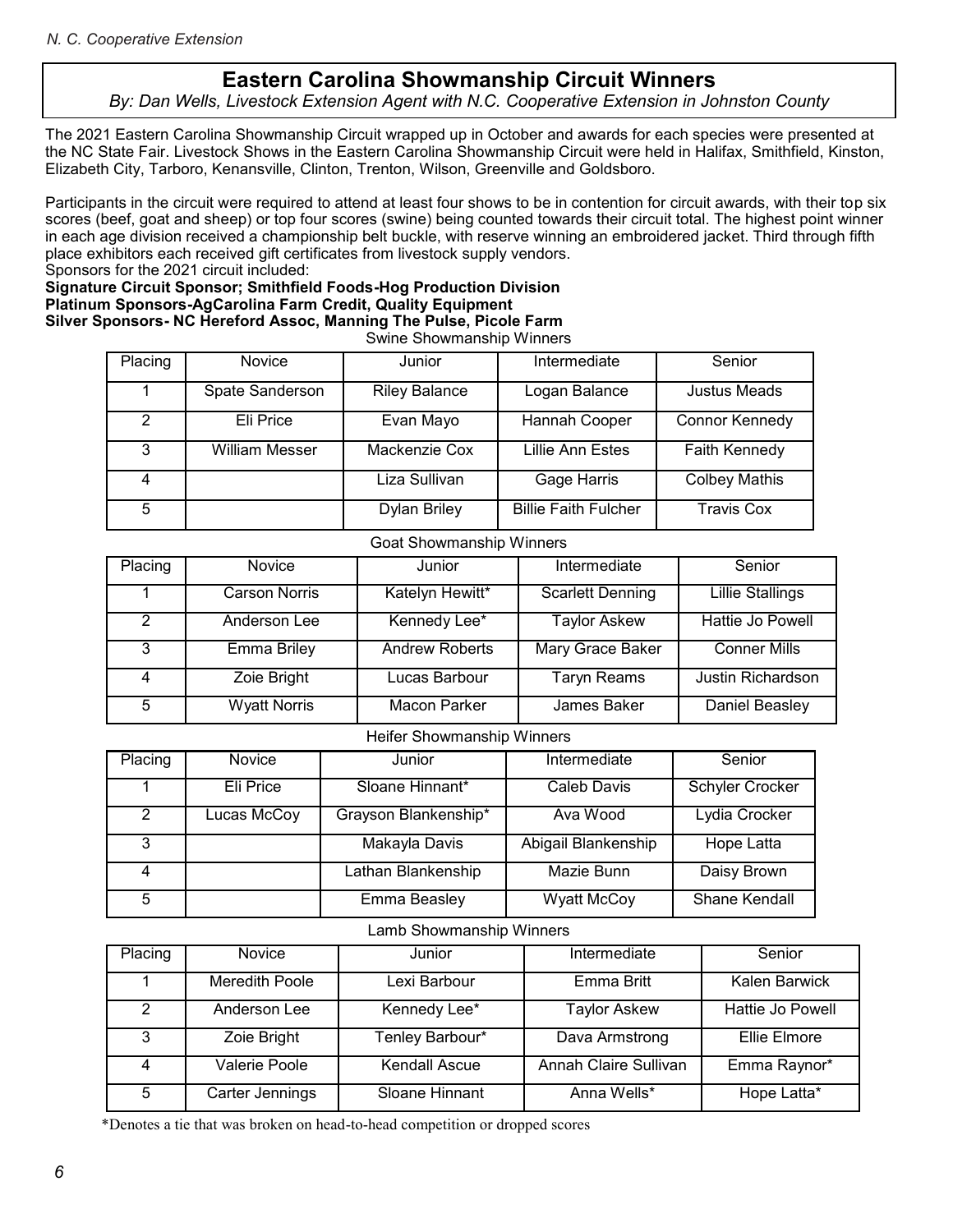## **Eastern Carolina Showmanship Circuit Winners**

## By: Dan Wells, Livestock Extension Agent with N.C. Cooperative Extension in Johnston County

The 2021 Eastern Carolina Showmanship Circuit wrapped up in October and awards for each species were presented at the NC State Fair. Livestock Shows in the Eastern Carolina Showmanship Circuit were held in Halifax, Smithfield, Kinston, Elizabeth City, Tarboro, Kenansville, Clinton, Trenton, Wilson, Greenville and Goldsboro.

Participants in the circuit were required to attend at least four shows to be in contention for circuit awards, with their top six scores (beef, goat and sheep) or top four scores (swine) being counted towards their circuit total. The highest point winner in each age division received a championship belt buckle, with reserve winning an embroidered jacket. Third through fifth place exhibitors each received gift certificates from livestock supply vendors.

Sponsors for the 2021 circuit included:

#### **Signature Circuit Sponsor; Smithfield Foods-Hog Production Division Platinum Sponsors-AgCarolina Farm Credit, Quality Equipment Silver Sponsors- NC Hereford Assoc, Manning The Pulse, Picole Farm** Swine Showmanship Winners

| Placing | <b>Novice</b>         | Junior               | Intermediate                | Senior                |
|---------|-----------------------|----------------------|-----------------------------|-----------------------|
|         | Spate Sanderson       | <b>Riley Balance</b> | Logan Balance               | Justus Meads          |
| 2       | Eli Price             | Evan Mayo            | Hannah Cooper               | <b>Connor Kennedy</b> |
| 3       | <b>William Messer</b> | Mackenzie Cox        | Lillie Ann Estes            | <b>Faith Kennedy</b>  |
|         |                       | Liza Sullivan        | Gage Harris                 | <b>Colbey Mathis</b>  |
| 5       |                       | <b>Dylan Briley</b>  | <b>Billie Faith Fulcher</b> | <b>Travis Cox</b>     |

## Goat Showmanship Winners

| Placing | <b>Novice</b>        | Junior                | Intermediate            | Senior                  |
|---------|----------------------|-----------------------|-------------------------|-------------------------|
|         | <b>Carson Norris</b> | Katelyn Hewitt*       | <b>Scarlett Denning</b> | <b>Lillie Stallings</b> |
| 2       | Anderson Lee         | Kennedy Lee*          | <b>Taylor Askew</b>     | Hattie Jo Powell        |
| 3       | Emma Briley          | <b>Andrew Roberts</b> | Mary Grace Baker        | <b>Conner Mills</b>     |
| 4       | Zoie Bright          | Lucas Barbour         | <b>Taryn Reams</b>      | Justin Richardson       |
| 5       | <b>Wyatt Norris</b>  | Macon Parker          | James Baker             | Daniel Beasley          |

#### Heifer Showmanship Winners

| Placing       | <b>Novice</b> | Junior               | Intermediate        | Senior               |
|---------------|---------------|----------------------|---------------------|----------------------|
|               |               |                      |                     |                      |
|               |               |                      |                     |                      |
|               | Eli Price     | Sloane Hinnant*      | Caleb Davis         | Schyler Crocker      |
|               |               |                      |                     |                      |
| $\mathcal{P}$ | Lucas McCoy   | Grayson Blankenship* | Ava Wood            | Lydia Crocker        |
|               |               |                      |                     |                      |
|               |               |                      |                     |                      |
| 3             |               | Makayla Davis        | Abigail Blankenship | Hope Latta           |
|               |               |                      |                     |                      |
|               |               |                      |                     |                      |
|               |               | Lathan Blankenship   | Mazie Bunn          | Daisy Brown          |
|               |               |                      |                     |                      |
|               |               |                      |                     |                      |
| 5             |               | Emma Beasley         | <b>Wyatt McCoy</b>  | <b>Shane Kendall</b> |
|               |               |                      |                     |                      |
|               |               |                      |                     |                      |

#### Lamb Showmanship Winners

| Placing | Novice                | Junior               | Intermediate          | Senior           |
|---------|-----------------------|----------------------|-----------------------|------------------|
|         | <b>Meredith Poole</b> | Lexi Barbour         | Emma Britt            | Kalen Barwick    |
| 2       | Anderson Lee          | Kennedy Lee*         | Taylor Askew          | Hattie Jo Powell |
| 3       | Zoie Bright           | Tenley Barbour*      | Dava Armstrong        | Ellie Elmore     |
|         | Valerie Poole         | <b>Kendall Ascue</b> | Annah Claire Sullivan | Emma Raynor*     |
| 5       | Carter Jennings       | Sloane Hinnant       | Anna Wells*           | Hope Latta*      |

\*Denotes a tie that was broken on head-to-head competition or dropped scores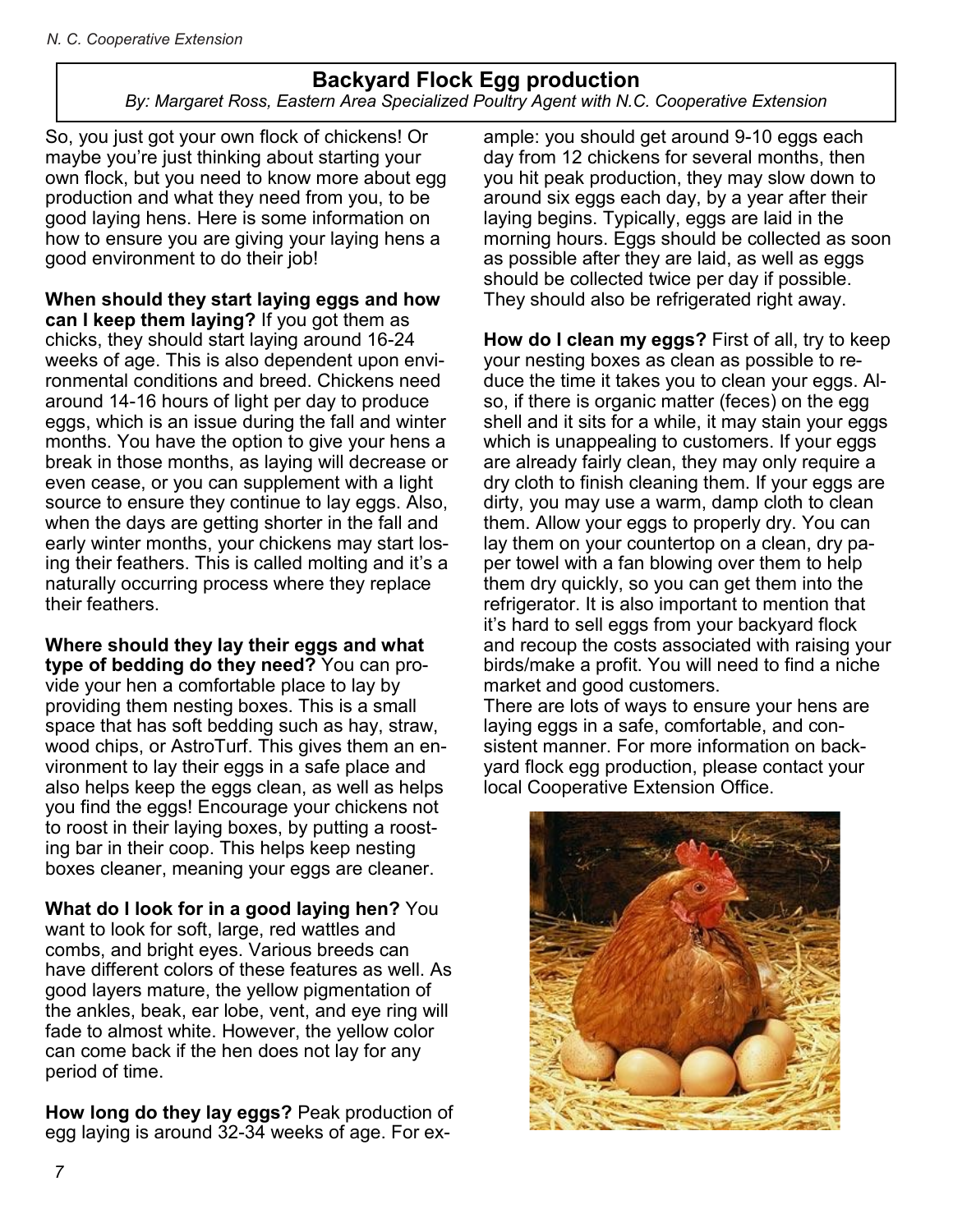## **Backyard Flock Egg production**

By: Margaret Ross, Eastern Area Specialized Poultry Agent with N.C. Cooperative Extension

So, you just got your own flock of chickens! Or maybe you're just thinking about starting your own flock, but you need to know more about egg production and what they need from you, to be good laying hens. Here is some information on how to ensure you are giving your laying hens a good environment to do their job!

**When should they start laying eggs and how can I keep them laying?** If you got them as chicks, they should start laying around 16-24 weeks of age. This is also dependent upon environmental conditions and breed. Chickens need around 14-16 hours of light per day to produce eggs, which is an issue during the fall and winter months. You have the option to give your hens a break in those months, as laying will decrease or even cease, or you can supplement with a light source to ensure they continue to lay eggs. Also, when the days are getting shorter in the fall and early winter months, your chickens may start losing their feathers. This is called molting and it's a naturally occurring process where they replace their feathers.

**Where should they lay their eggs and what type of bedding do they need?** You can provide your hen a comfortable place to lay by providing them nesting boxes. This is a small space that has soft bedding such as hay, straw, wood chips, or AstroTurf. This gives them an environment to lay their eggs in a safe place and also helps keep the eggs clean, as well as helps you find the eggs! Encourage your chickens not to roost in their laying boxes, by putting a roosting bar in their coop. This helps keep nesting boxes cleaner, meaning your eggs are cleaner.

**What do I look for in a good laying hen?** You want to look for soft, large, red wattles and combs, and bright eyes. Various breeds can have different colors of these features as well. As good layers mature, the yellow pigmentation of the ankles, beak, ear lobe, vent, and eye ring will fade to almost white. However, the yellow color can come back if the hen does not lay for any period of time.

**How long do they lay eggs?** Peak production of egg laying is around 32-34 weeks of age. For example: you should get around 9-10 eggs each day from 12 chickens for several months, then you hit peak production, they may slow down to around six eggs each day, by a year after their laying begins. Typically, eggs are laid in the morning hours. Eggs should be collected as soon as possible after they are laid, as well as eggs should be collected twice per day if possible. They should also be refrigerated right away.

**How do I clean my eggs?** First of all, try to keep your nesting boxes as clean as possible to reduce the time it takes you to clean your eggs. Also, if there is organic matter (feces) on the egg shell and it sits for a while, it may stain your eggs which is unappealing to customers. If your eggs are already fairly clean, they may only require a dry cloth to finish cleaning them. If your eggs are dirty, you may use a warm, damp cloth to clean them. Allow your eggs to properly dry. You can lay them on your countertop on a clean, dry paper towel with a fan blowing over them to help them dry quickly, so you can get them into the refrigerator. It is also important to mention that it's hard to sell eggs from your backyard flock and recoup the costs associated with raising your birds/make a profit. You will need to find a niche market and good customers.

There are lots of ways to ensure your hens are laying eggs in a safe, comfortable, and consistent manner. For more information on backyard flock egg production, please contact your local Cooperative Extension Office.